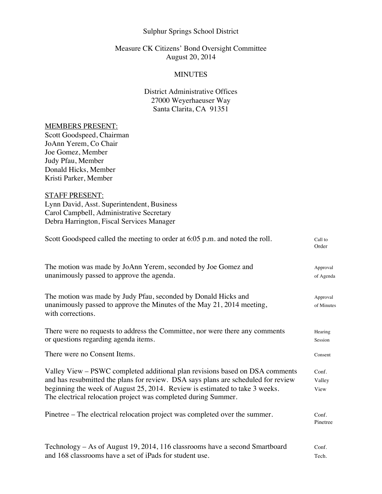### Sulphur Springs School District

## Measure CK Citizens' Bond Oversight Committee August 20, 2014

## **MINUTES**

# District Administrative Offices 27000 Weyerhaeuser Way Santa Clarita, CA 91351

#### MEMBERS PRESENT:

Scott Goodspeed, Chairman JoAnn Yerem, Co Chair Joe Gomez, Member Judy Pfau, Member Donald Hicks, Member Kristi Parker, Member

## STAFF PRESENT:

Lynn David, Asst. Superintendent, Business Carol Campbell, Administrative Secretary Debra Harrington, Fiscal Services Manager

| Scott Goodspeed called the meeting to order at 6:05 p.m. and noted the roll.                                                                                                                                                                                                                                       | Call to<br>Order        |
|--------------------------------------------------------------------------------------------------------------------------------------------------------------------------------------------------------------------------------------------------------------------------------------------------------------------|-------------------------|
| The motion was made by JoAnn Yerem, seconded by Joe Gomez and<br>unanimously passed to approve the agenda.                                                                                                                                                                                                         | Approval<br>of Agenda   |
| The motion was made by Judy Pfau, seconded by Donald Hicks and<br>unanimously passed to approve the Minutes of the May 21, 2014 meeting,<br>with corrections.                                                                                                                                                      | Approval<br>of Minutes  |
| There were no requests to address the Committee, nor were there any comments<br>or questions regarding agenda items.                                                                                                                                                                                               | Hearing<br>Session      |
| There were no Consent Items.                                                                                                                                                                                                                                                                                       | Consent                 |
| Valley View - PSWC completed additional plan revisions based on DSA comments<br>and has resubmitted the plans for review. DSA says plans are scheduled for review<br>beginning the week of August 25, 2014. Review is estimated to take 3 weeks.<br>The electrical relocation project was completed during Summer. | Conf.<br>Valley<br>View |
| Pinetree – The electrical relocation project was completed over the summer.                                                                                                                                                                                                                                        | Conf.<br>Pinetree       |
| Technology - As of August 19, 2014, 116 classrooms have a second Smartboard<br>and 168 classrooms have a set of iPads for student use.                                                                                                                                                                             | Conf.<br>Tech.          |